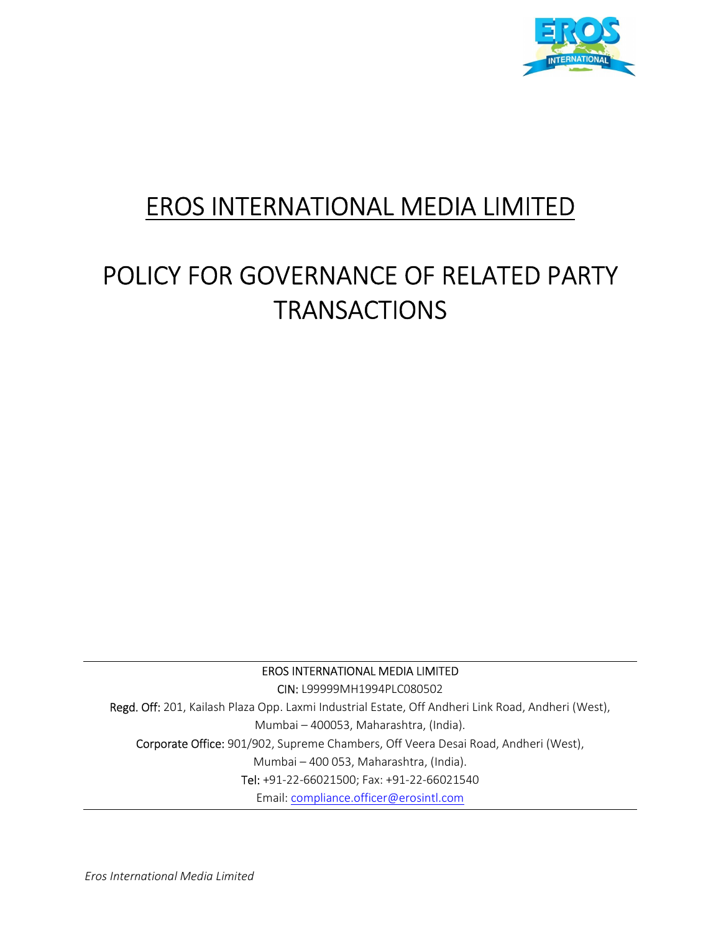

# EROS INTERNATIONAL MEDIA LIMITED

# POLICY FOR GOVERNANCE OF RELATED PARTY **TRANSACTIONS**

EROS INTERNATIONAL MEDIA LIMITED

CIN: L99999MH1994PLC080502 Regd. Off: 201, Kailash Plaza Opp. Laxmi Industrial Estate, Off Andheri Link Road, Andheri (West), Mumbai – 400053, Maharashtra, (India). Corporate Office: 901/902, Supreme Chambers, Off Veera Desai Road, Andheri (West), Mumbai – 400 053, Maharashtra, (India). Tel: +91-22-66021500; Fax: +91-22-66021540 Email: compliance.officer@erosintl.com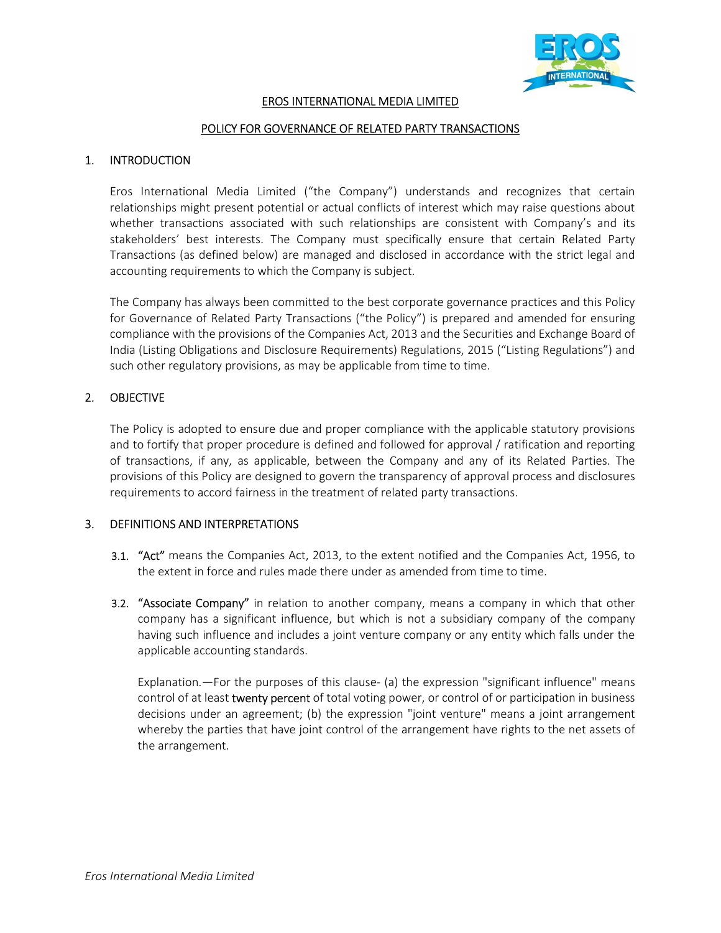

## EROS INTERNATIONAL MEDIA LIMITED

#### POLICY FOR GOVERNANCE OF RELATED PARTY TRANSACTIONS

#### 1. INTRODUCTION

Eros International Media Limited ("the Company") understands and recognizes that certain relationships might present potential or actual conflicts of interest which may raise questions about whether transactions associated with such relationships are consistent with Company's and its stakeholders' best interests. The Company must specifically ensure that certain Related Party Transactions (as defined below) are managed and disclosed in accordance with the strict legal and accounting requirements to which the Company is subject.

The Company has always been committed to the best corporate governance practices and this Policy for Governance of Related Party Transactions ("the Policy") is prepared and amended for ensuring compliance with the provisions of the Companies Act, 2013 and the Securities and Exchange Board of India (Listing Obligations and Disclosure Requirements) Regulations, 2015 ("Listing Regulations") and such other regulatory provisions, as may be applicable from time to time.

#### 2. OBJECTIVE

The Policy is adopted to ensure due and proper compliance with the applicable statutory provisions and to fortify that proper procedure is defined and followed for approval / ratification and reporting of transactions, if any, as applicable, between the Company and any of its Related Parties. The provisions of this Policy are designed to govern the transparency of approval process and disclosures requirements to accord fairness in the treatment of related party transactions.

#### 3. DEFINITIONS AND INTERPRETATIONS

- 3.1. "Act" means the Companies Act, 2013, to the extent notified and the Companies Act, 1956, to the extent in force and rules made there under as amended from time to time.
- 3.2. "Associate Company" in relation to another company, means a company in which that other company has a significant influence, but which is not a subsidiary company of the company having such influence and includes a joint venture company or any entity which falls under the applicable accounting standards.

Explanation.—For the purposes of this clause- (a) the expression "significant influence" means control of at least twenty percent of total voting power, or control of or participation in business decisions under an agreement; (b) the expression "joint venture" means a joint arrangement whereby the parties that have joint control of the arrangement have rights to the net assets of the arrangement.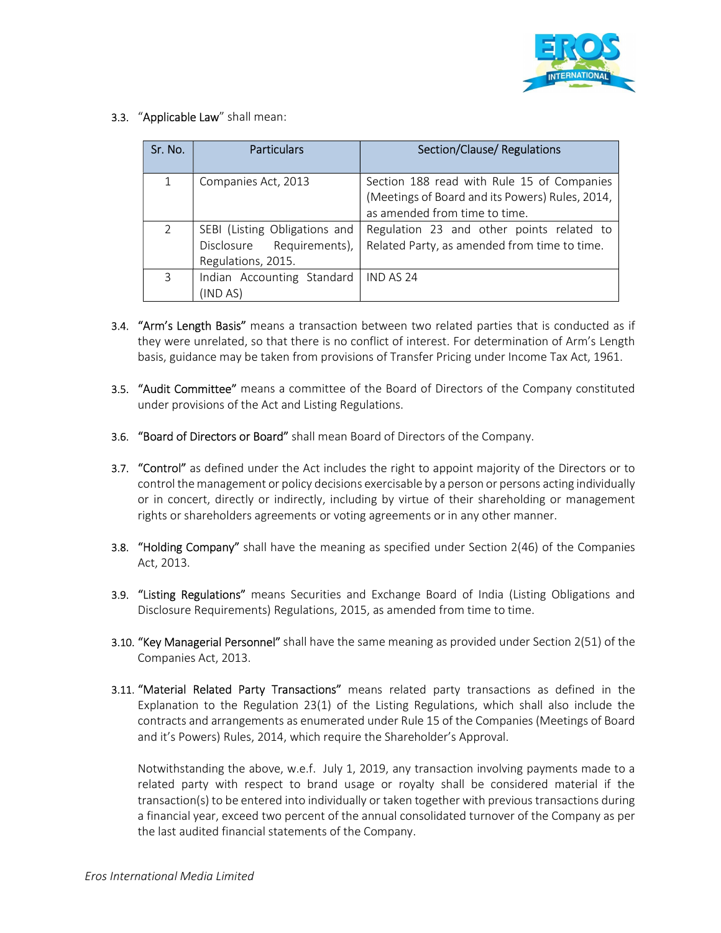

3.3. "Applicable Law" shall mean:

| Sr. No.        | <b>Particulars</b>                                                               | Section/Clause/Regulations                                                                                                     |
|----------------|----------------------------------------------------------------------------------|--------------------------------------------------------------------------------------------------------------------------------|
| 1              | Companies Act, 2013                                                              | Section 188 read with Rule 15 of Companies<br>(Meetings of Board and its Powers) Rules, 2014,<br>as amended from time to time. |
| $\overline{2}$ | SEBI (Listing Obligations and<br>Disclosure Requirements),<br>Regulations, 2015. | Regulation 23 and other points related to<br>Related Party, as amended from time to time.                                      |
| 3              | Indian Accounting Standard<br>(IND AS)                                           | IND AS 24                                                                                                                      |

- **3.4. "Arm's Length Basis"** means a transaction between two related parties that is conducted as if they were unrelated, so that there is no conflict of interest. For determination of Arm's Length basis, guidance may be taken from provisions of Transfer Pricing under Income Tax Act, 1961.
- 3.5. "Audit Committee" means a committee of the Board of Directors of the Company constituted under provisions of the Act and Listing Regulations.
- 3.6. "Board of Directors or Board" shall mean Board of Directors of the Company.
- 3.7. "Control" as defined under the Act includes the right to appoint majority of the Directors or to control the management or policy decisions exercisable by a person or persons acting individually or in concert, directly or indirectly, including by virtue of their shareholding or management rights or shareholders agreements or voting agreements or in any other manner.
- **3.8. "Holding Company"** shall have the meaning as specified under Section 2(46) of the Companies Act, 2013.
- 3.9. "Listing Regulations" means Securities and Exchange Board of India (Listing Obligations and Disclosure Requirements) Regulations, 2015, as amended from time to time.
- 3.10. "Key Managerial Personnel" shall have the same meaning as provided under Section 2(51) of the Companies Act, 2013.
- 3.11. "Material Related Party Transactions" means related party transactions as defined in the Explanation to the Regulation 23(1) of the Listing Regulations, which shall also include the contracts and arrangements as enumerated under Rule 15 of the Companies (Meetings of Board and it's Powers) Rules, 2014, which require the Shareholder's Approval.

 Notwithstanding the above, w.e.f. July 1, 2019, any transaction involving payments made to a related party with respect to brand usage or royalty shall be considered material if the transaction(s) to be entered into individually or taken together with previous transactions during a financial year, exceed two percent of the annual consolidated turnover of the Company as per the last audited financial statements of the Company.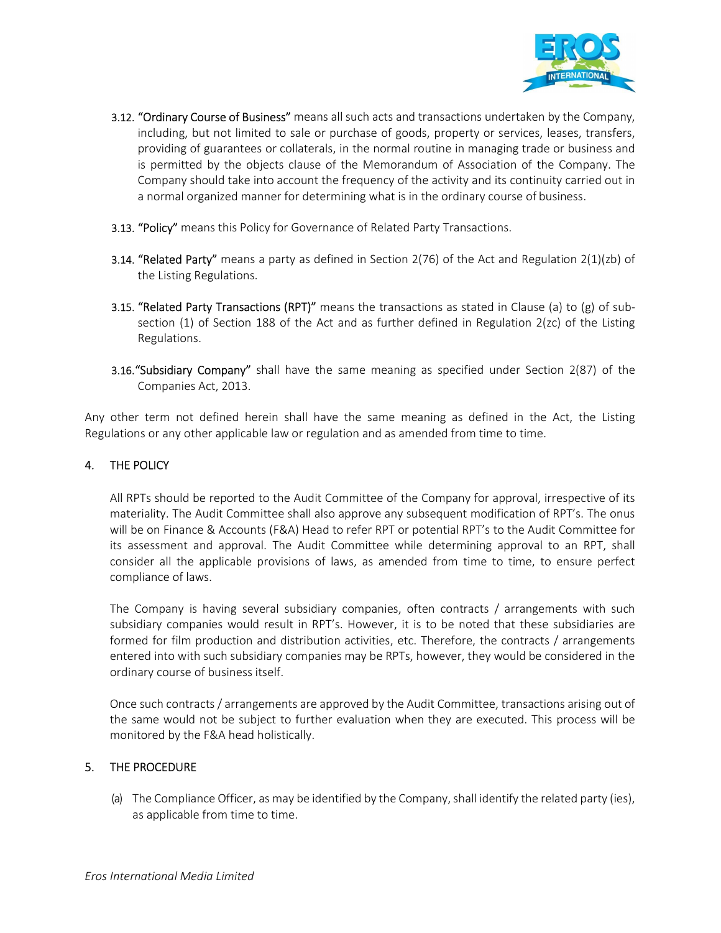

- 3.12. "Ordinary Course of Business" means all such acts and transactions undertaken by the Company, including, but not limited to sale or purchase of goods, property or services, leases, transfers, providing of guarantees or collaterals, in the normal routine in managing trade or business and is permitted by the objects clause of the Memorandum of Association of the Company. The Company should take into account the frequency of the activity and its continuity carried out in a normal organized manner for determining what is in the ordinary course of business.
- 3.13. "Policy" means this Policy for Governance of Related Party Transactions.
- 3.14. "Related Party" means a party as defined in Section 2(76) of the Act and Regulation  $2(1)(zb)$  of the Listing Regulations.
- 3.15. "Related Party Transactions (RPT)" means the transactions as stated in Clause (a) to (g) of subsection (1) of Section 188 of the Act and as further defined in Regulation 2(zc) of the Listing Regulations.
- 3.16."Subsidiary Company" shall have the same meaning as specified under Section 2(87) of the Companies Act, 2013.

Any other term not defined herein shall have the same meaning as defined in the Act, the Listing Regulations or any other applicable law or regulation and as amended from time to time.

## 4. THE POLICY

All RPTs should be reported to the Audit Committee of the Company for approval, irrespective of its materiality. The Audit Committee shall also approve any subsequent modification of RPT's. The onus will be on Finance & Accounts (F&A) Head to refer RPT or potential RPT's to the Audit Committee for its assessment and approval. The Audit Committee while determining approval to an RPT, shall consider all the applicable provisions of laws, as amended from time to time, to ensure perfect compliance of laws.

The Company is having several subsidiary companies, often contracts / arrangements with such subsidiary companies would result in RPT's. However, it is to be noted that these subsidiaries are formed for film production and distribution activities, etc. Therefore, the contracts / arrangements entered into with such subsidiary companies may be RPTs, however, they would be considered in the ordinary course of business itself.

Once such contracts / arrangements are approved by the Audit Committee, transactions arising out of the same would not be subject to further evaluation when they are executed. This process will be monitored by the F&A head holistically.

#### 5. THE PROCEDURE

(a) The Compliance Officer, as may be identified by the Company, shall identify the related party (ies), as applicable from time to time.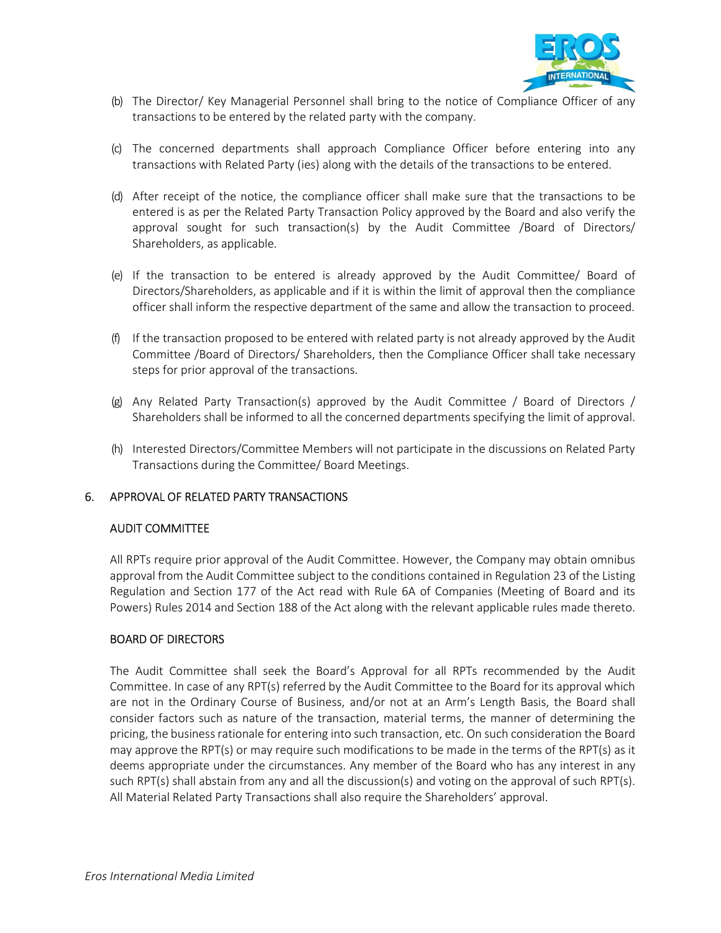

- (b) The Director/ Key Managerial Personnel shall bring to the notice of Compliance Officer of any transactions to be entered by the related party with the company.
- (c) The concerned departments shall approach Compliance Officer before entering into any transactions with Related Party (ies) along with the details of the transactions to be entered.
- (d) After receipt of the notice, the compliance officer shall make sure that the transactions to be entered is as per the Related Party Transaction Policy approved by the Board and also verify the approval sought for such transaction(s) by the Audit Committee /Board of Directors/ Shareholders, as applicable.
- (e) If the transaction to be entered is already approved by the Audit Committee/ Board of Directors/Shareholders, as applicable and if it is within the limit of approval then the compliance officer shall inform the respective department of the same and allow the transaction to proceed.
- (f) If the transaction proposed to be entered with related party is not already approved by the Audit Committee /Board of Directors/ Shareholders, then the Compliance Officer shall take necessary steps for prior approval of the transactions.
- (g) Any Related Party Transaction(s) approved by the Audit Committee / Board of Directors / Shareholders shall be informed to all the concerned departments specifying the limit of approval.
- (h) Interested Directors/Committee Members will not participate in the discussions on Related Party Transactions during the Committee/ Board Meetings.

#### 6. APPROVAL OF RELATED PARTY TRANSACTIONS

#### AUDIT COMMITTEE

All RPTs require prior approval of the Audit Committee. However, the Company may obtain omnibus approval from the Audit Committee subject to the conditions contained in Regulation 23 of the Listing Regulation and Section 177 of the Act read with Rule 6A of Companies (Meeting of Board and its Powers) Rules 2014 and Section 188 of the Act along with the relevant applicable rules made thereto.

#### BOARD OF DIRECTORS

The Audit Committee shall seek the Board's Approval for all RPTs recommended by the Audit Committee. In case of any RPT(s) referred by the Audit Committee to the Board for its approval which are not in the Ordinary Course of Business, and/or not at an Arm's Length Basis, the Board shall consider factors such as nature of the transaction, material terms, the manner of determining the pricing, the business rationale for entering into such transaction, etc. On such consideration the Board may approve the RPT(s) or may require such modifications to be made in the terms of the RPT(s) as it deems appropriate under the circumstances. Any member of the Board who has any interest in any such RPT(s) shall abstain from any and all the discussion(s) and voting on the approval of such RPT(s). All Material Related Party Transactions shall also require the Shareholders' approval.